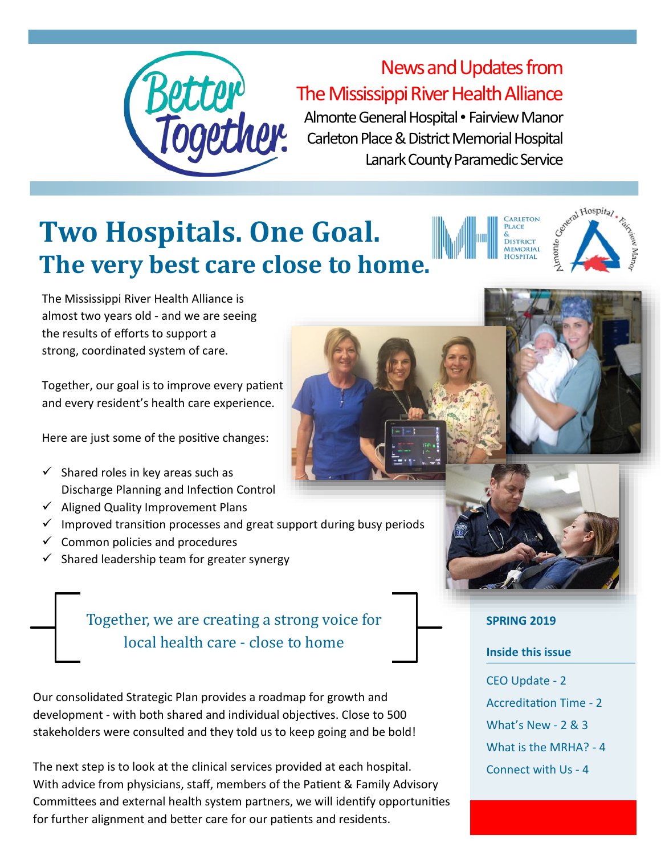

# News and Updates from The Mississippi River Health Alliance

Almonte General Hospital • Fairview Manor Carleton Place & District Memorial Hospital Lanark County Paramedic Service

# **Two Hospitals. One Goal. The very best care close to home.**

The Mississippi River Health Alliance is almost two years old - and we are seeing the results of efforts to support a strong, coordinated system of care.

Together, our goal is to improve every patient and every resident's health care experience.

Here are just some of the positive changes:

- $\checkmark$  Shared roles in key areas such as Discharge Planning and Infection Control
- $\checkmark$  Aligned Quality Improvement Plans
- $\checkmark$  Improved transition processes and great support during busy periods
- $\checkmark$  Common policies and procedures
- $\checkmark$  Shared leadership team for greater synergy

Together, we are creating a strong voice for local health care - close to home

Our consolidated Strategic Plan provides a roadmap for growth and development - with both shared and individual objectives. Close to 500 stakeholders were consulted and they told us to keep going and be bold!

The next step is to look at the clinical services provided at each hospital. With advice from physicians, staff, members of the Patient & Family Advisory Committees and external health system partners, we will identify opportunities for further alignment and better care for our patients and residents.



etal Hospital

**ADI ETON LACE DISTRICT MEMORIAL** 

#### **SPRING 2019**

#### **Inside this issue**

CEO Update - 2 Accreditation Time - 2 What's New - 2 & 3 What is the MRHA? - 4 Connect with Us - 4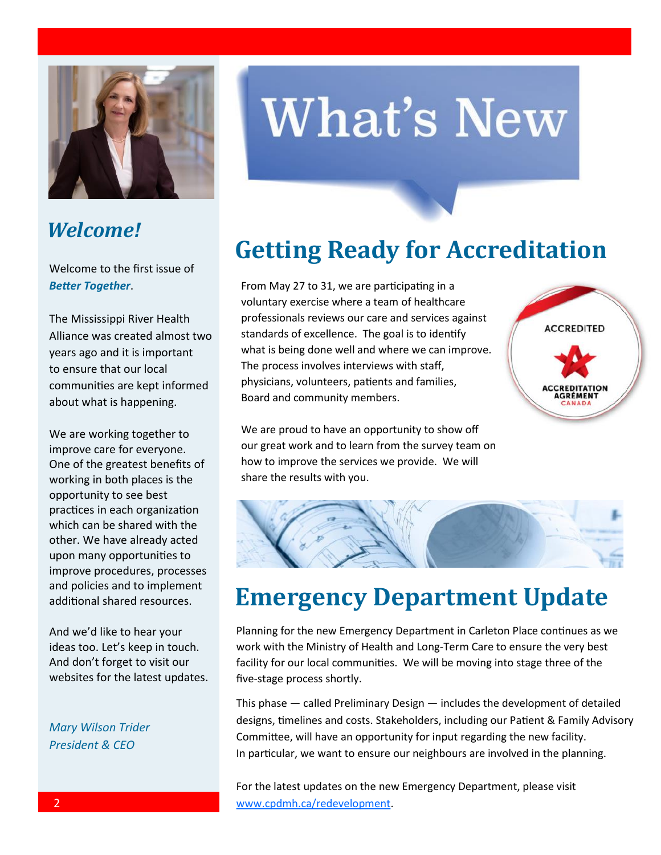

#### *Welcome!*

Welcome to the first issue of *Better Together*.

The Mississippi River Health Alliance was created almost two years ago and it is important to ensure that our local communities are kept informed about what is happening.

We are working together to improve care for everyone. One of the greatest benefits of working in both places is the opportunity to see best practices in each organization which can be shared with the other. We have already acted upon many opportunities to improve procedures, processes and policies and to implement additional shared resources.

And we'd like to hear your ideas too. Let's keep in touch. And don't forget to visit our websites for the latest updates.

*Mary Wilson Trider President & CEO*

# **What's New**

# **Getting Ready for Accreditation**

From May 27 to 31, we are participating in a voluntary exercise where a team of healthcare professionals reviews our care and services against standards of excellence. The goal is to identify what is being done well and where we can improve. The process involves interviews with staff, physicians, volunteers, patients and families, Board and community members.

**ACCREDITED** AGRÉMENT

We are proud to have an opportunity to show off our great work and to learn from the survey team on how to improve the services we provide. We will share the results with you.



#### **Emergency Department Update**

Planning for the new Emergency Department in Carleton Place continues as we work with the Ministry of Health and Long-Term Care to ensure the very best facility for our local communities. We will be moving into stage three of the five-stage process shortly.

This phase — called Preliminary Design — includes the development of detailed designs, timelines and costs. Stakeholders, including our Patient & Family Advisory Committee, will have an opportunity for input regarding the new facility. In particular, we want to ensure our neighbours are involved in the planning.

For the latest updates on the new Emergency Department, please visit [www.cpdmh.ca/redevelopment.](http://www.cpdmh.ca/redevelopment)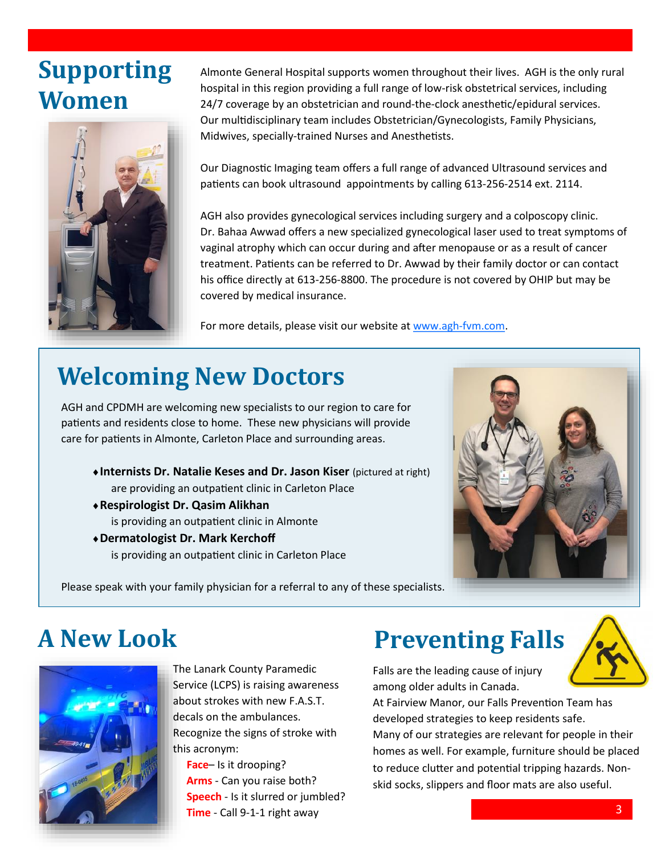### **Supporting Women**



Almonte General Hospital supports women throughout their lives. AGH is the only rural hospital in this region providing a full range of low-risk obstetrical services, including 24/7 coverage by an obstetrician and round-the-clock anesthetic/epidural services. Our multidisciplinary team includes Obstetrician/Gynecologists, Family Physicians, Midwives, specially-trained Nurses and Anesthetists.

Our Diagnostic Imaging team offers a full range of advanced Ultrasound services and patients can book ultrasound appointments by calling 613-256-2514 ext. 2114.

AGH also provides gynecological services including surgery and a colposcopy clinic. Dr. Bahaa Awwad offers a new specialized gynecological laser used to treat symptoms of vaginal atrophy which can occur during and after menopause or as a result of cancer treatment. Patients can be referred to Dr. Awwad by their family doctor or can contact his office directly at 613-256-8800. The procedure is not covered by OHIP but may be covered by medical insurance.

For more details, please visit our website at [www.agh](http://www.agh-fvm.com)-fvm.com.

# **Welcoming New Doctors**

AGH and CPDMH are welcoming new specialists to our region to care for patients and residents close to home. These new physicians will provide care for patients in Almonte, Carleton Place and surrounding areas.

- **Internists Dr. Natalie Keses and Dr. Jason Kiser** (pictured at right) are providing an outpatient clinic in Carleton Place
- **Respirologist Dr. Qasim Alikhan**  is providing an outpatient clinic in Almonte
- **Dermatologist Dr. Mark Kerchoff**  is providing an outpatient clinic in Carleton Place



Please speak with your family physician for a referral to any of these specialists.

# **A New Look**



The Lanark County Paramedic Service (LCPS) is raising awareness about strokes with new F.A.S.T. decals on the ambulances. Recognize the signs of stroke with this acronym:

 **Face**– Is it drooping? **Arms** - Can you raise both? **Speech** - Is it slurred or jumbled? **Time** - Call 9-1-1 right away

# **Preventing Falls**

Falls are the leading cause of injury among older adults in Canada.



At Fairview Manor, our Falls Prevention Team has developed strategies to keep residents safe. Many of our strategies are relevant for people in their homes as well. For example, furniture should be placed to reduce clutter and potential tripping hazards. Nonskid socks, slippers and floor mats are also useful.